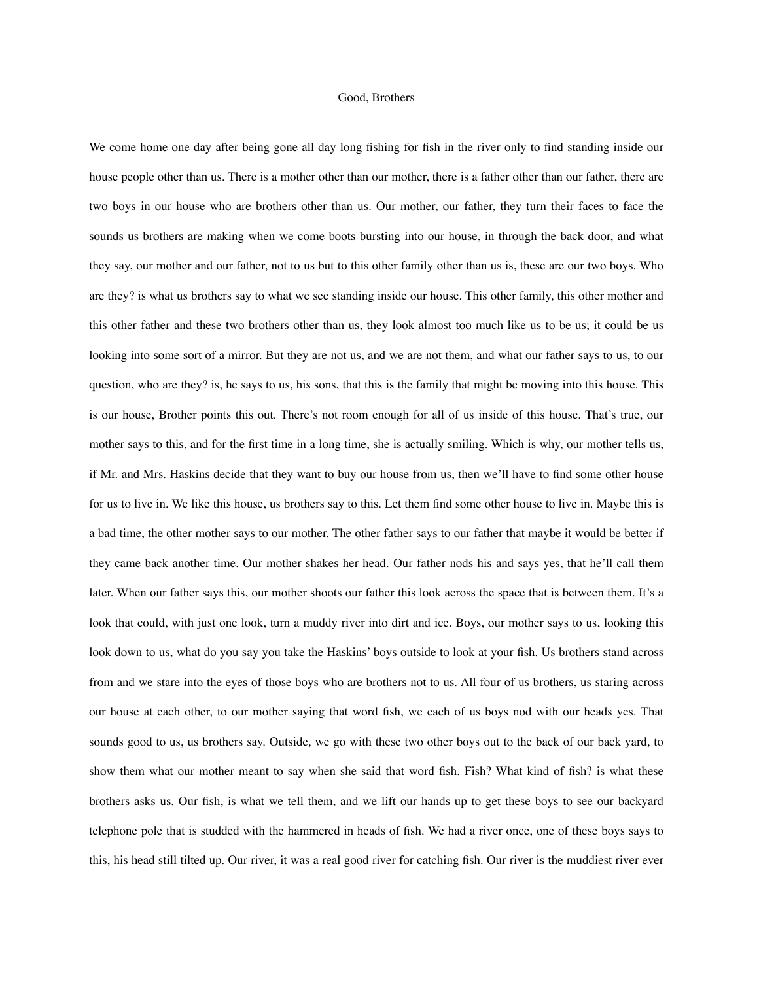## Good, Brothers

We come home one day after being gone all day long fishing for fish in the river only to find standing inside our house people other than us. There is a mother other than our mother, there is a father other than our father, there are two boys in our house who are brothers other than us. Our mother, our father, they turn their faces to face the sounds us brothers are making when we come boots bursting into our house, in through the back door, and what they say, our mother and our father, not to us but to this other family other than us is, these are our two boys. Who are they? is what us brothers say to what we see standing inside our house. This other family, this other mother and this other father and these two brothers other than us, they look almost too much like us to be us; it could be us looking into some sort of a mirror. But they are not us, and we are not them, and what our father says to us, to our question, who are they? is, he says to us, his sons, that this is the family that might be moving into this house. This is our house, Brother points this out. There's not room enough for all of us inside of this house. That's true, our mother says to this, and for the first time in a long time, she is actually smiling. Which is why, our mother tells us, if Mr. and Mrs. Haskins decide that they want to buy our house from us, then we'll have to find some other house for us to live in. We like this house, us brothers say to this. Let them find some other house to live in. Maybe this is a bad time, the other mother says to our mother. The other father says to our father that maybe it would be better if they came back another time. Our mother shakes her head. Our father nods his and says yes, that he'll call them later. When our father says this, our mother shoots our father this look across the space that is between them. It's a look that could, with just one look, turn a muddy river into dirt and ice. Boys, our mother says to us, looking this look down to us, what do you say you take the Haskins' boys outside to look at your fish. Us brothers stand across from and we stare into the eyes of those boys who are brothers not to us. All four of us brothers, us staring across our house at each other, to our mother saying that word fish, we each of us boys nod with our heads yes. That sounds good to us, us brothers say. Outside, we go with these two other boys out to the back of our back yard, to show them what our mother meant to say when she said that word fish. Fish? What kind of fish? is what these brothers asks us. Our fish, is what we tell them, and we lift our hands up to get these boys to see our backyard telephone pole that is studded with the hammered in heads of fish. We had a river once, one of these boys says to this, his head still tilted up. Our river, it was a real good river for catching fish. Our river is the muddiest river ever